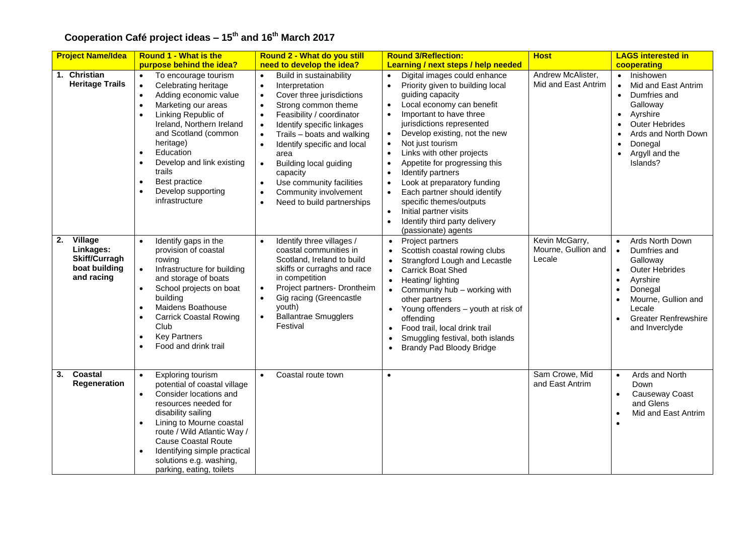| <b>Project Name/Idea</b>                                                          | <b>Round 1 - What is the</b>                                                                                                                                                                                                                                                                                                                                                                  | Round 2 - What do you still                                                                                                                                                                                                                                                                                                                                                                                                                                                                     | <b>Round 3/Reflection:</b>                                                                                                                                                                                                                                                                                                                                                                                                                                                                                                                                                                                                                                             | <b>Host</b>                                     | <b>LAGS interested in</b>                                                                                                                                                                                                            |
|-----------------------------------------------------------------------------------|-----------------------------------------------------------------------------------------------------------------------------------------------------------------------------------------------------------------------------------------------------------------------------------------------------------------------------------------------------------------------------------------------|-------------------------------------------------------------------------------------------------------------------------------------------------------------------------------------------------------------------------------------------------------------------------------------------------------------------------------------------------------------------------------------------------------------------------------------------------------------------------------------------------|------------------------------------------------------------------------------------------------------------------------------------------------------------------------------------------------------------------------------------------------------------------------------------------------------------------------------------------------------------------------------------------------------------------------------------------------------------------------------------------------------------------------------------------------------------------------------------------------------------------------------------------------------------------------|-------------------------------------------------|--------------------------------------------------------------------------------------------------------------------------------------------------------------------------------------------------------------------------------------|
|                                                                                   | purpose behind the idea?                                                                                                                                                                                                                                                                                                                                                                      | need to develop the idea?                                                                                                                                                                                                                                                                                                                                                                                                                                                                       | Learning / next steps / help needed                                                                                                                                                                                                                                                                                                                                                                                                                                                                                                                                                                                                                                    |                                                 | cooperating                                                                                                                                                                                                                          |
| 1. Christian<br><b>Heritage Trails</b>                                            | To encourage tourism<br>Celebrating heritage<br>$\bullet$<br>Adding economic value<br>$\bullet$<br>Marketing our areas<br>$\bullet$<br>Linking Republic of<br>$\bullet$<br>Ireland, Northern Ireland<br>and Scotland (common<br>heritage)<br>Education<br>$\bullet$<br>Develop and link existing<br>$\bullet$<br>trails<br>Best practice<br>$\bullet$<br>Develop supporting<br>infrastructure | Build in sustainability<br>$\bullet$<br>Interpretation<br>$\bullet$<br>Cover three jurisdictions<br>Strong common theme<br>$\bullet$<br>Feasibility / coordinator<br>$\bullet$<br>Identify specific linkages<br>$\bullet$<br>Trails - boats and walking<br>$\bullet$<br>Identify specific and local<br>$\bullet$<br>area<br><b>Building local guiding</b><br>$\bullet$<br>capacity<br>Use community facilities<br>$\bullet$<br>Community involvement<br>$\bullet$<br>Need to build partnerships | Digital images could enhance<br>$\bullet$<br>Priority given to building local<br>$\bullet$<br>guiding capacity<br>Local economy can benefit<br>$\bullet$<br>Important to have three<br>$\bullet$<br>jurisdictions represented<br>Develop existing, not the new<br>$\bullet$<br>$\bullet$<br>Not just tourism<br>Links with other projects<br>$\bullet$<br>Appetite for progressing this<br>$\bullet$<br>Identify partners<br>$\bullet$<br>Look at preparatory funding<br>$\bullet$<br>Each partner should identify<br>$\bullet$<br>specific themes/outputs<br>Initial partner visits<br>$\bullet$<br>Identify third party delivery<br>$\bullet$<br>(passionate) agents | Andrew McAlister,<br>Mid and East Antrim        | • Inishowen<br>Mid and East Antrim<br>$\bullet$<br>Dumfries and<br>$\bullet$<br>Galloway<br>Ayrshire<br>$\bullet$<br><b>Outer Hebrides</b><br>Ards and North Down<br>Donegal<br>$\bullet$<br>Argyll and the<br>$\bullet$<br>Islands? |
| Village<br>2.<br>Linkages:<br><b>Skiff/Curragh</b><br>boat building<br>and racing | Identify gaps in the<br>$\bullet$<br>provision of coastal<br>rowing<br>Infrastructure for building<br>$\bullet$<br>and storage of boats<br>School projects on boat<br>$\bullet$<br>building<br>Maidens Boathouse<br>$\bullet$<br><b>Carrick Coastal Rowing</b><br>$\bullet$<br>Club<br><b>Key Partners</b><br>Food and drink trail<br>$\bullet$                                               | Identify three villages /<br>$\bullet$<br>coastal communities in<br>Scotland, Ireland to build<br>skiffs or curraghs and race<br>in competition<br>Project partners- Drontheim<br>Gig racing (Greencastle<br>$\bullet$<br>youth)<br><b>Ballantrae Smugglers</b><br>Festival                                                                                                                                                                                                                     | Project partners<br>$\bullet$<br>Scottish coastal rowing clubs<br>$\bullet$<br>Strangford Lough and Lecastle<br>$\bullet$<br><b>Carrick Boat Shed</b><br>$\bullet$<br>Heating/ lighting<br>$\bullet$<br>• Community hub - working with<br>other partners<br>Young offenders - youth at risk of<br>$\bullet$<br>offending<br>Food trail, local drink trail<br>$\bullet$<br>Smuggling festival, both islands<br><b>Brandy Pad Bloody Bridge</b>                                                                                                                                                                                                                          | Kevin McGarry,<br>Mourne, Gullion and<br>Lecale | Ards North Down<br>$\bullet$<br>Dumfries and<br>$\bullet$<br>Galloway<br><b>Outer Hebrides</b><br>Ayrshire<br>Donegal<br>Mourne, Gullion and<br>Lecale<br><b>Greater Renfrewshire</b><br>and Inverclyde                              |
| <b>Coastal</b><br>3.<br>Regeneration                                              | Exploring tourism<br>potential of coastal village<br>Consider locations and<br>$\bullet$<br>resources needed for<br>disability sailing<br>Lining to Mourne coastal<br>$\bullet$<br>route / Wild Atlantic Way /<br><b>Cause Coastal Route</b><br>Identifying simple practical<br>solutions e.g. washing,<br>parking, eating, toilets                                                           | Coastal route town<br>$\bullet$                                                                                                                                                                                                                                                                                                                                                                                                                                                                 | $\bullet$                                                                                                                                                                                                                                                                                                                                                                                                                                                                                                                                                                                                                                                              | Sam Crowe, Mid<br>and East Antrim               | Ards and North<br>$\bullet$<br>Down<br>Causeway Coast<br>$\bullet$<br>and Glens<br>Mid and East Antrim                                                                                                                               |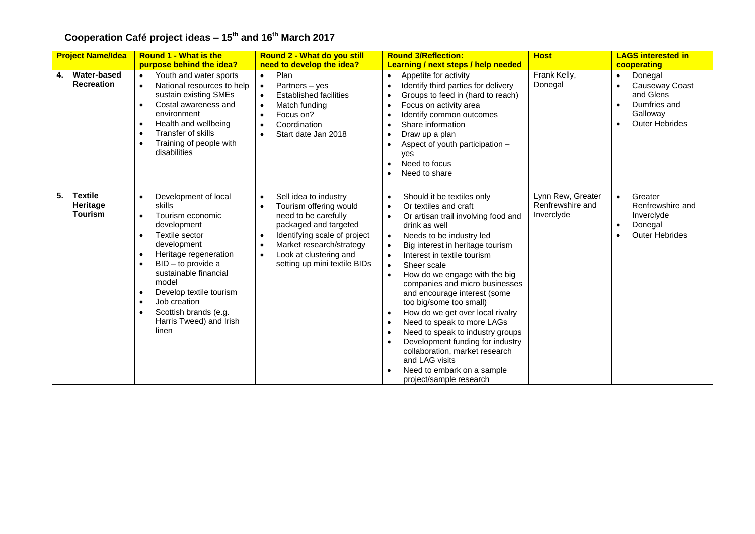|    | <b>Project Name/Idea</b>                     | <b>Round 1 - What is the</b>                                                                                                                                                                                                                                                                                                                         | Round 2 - What do you still                                                                                                                                                                                                                      | <b>Round 3/Reflection:</b>                                                                                                                                                                                                                                                                                                                                                                                                                                                                                                                                                                                                                                                                                                          | <b>Host</b>                                         | <b>LAGS interested in</b>                                                                                             |
|----|----------------------------------------------|------------------------------------------------------------------------------------------------------------------------------------------------------------------------------------------------------------------------------------------------------------------------------------------------------------------------------------------------------|--------------------------------------------------------------------------------------------------------------------------------------------------------------------------------------------------------------------------------------------------|-------------------------------------------------------------------------------------------------------------------------------------------------------------------------------------------------------------------------------------------------------------------------------------------------------------------------------------------------------------------------------------------------------------------------------------------------------------------------------------------------------------------------------------------------------------------------------------------------------------------------------------------------------------------------------------------------------------------------------------|-----------------------------------------------------|-----------------------------------------------------------------------------------------------------------------------|
|    |                                              | purpose behind the idea?                                                                                                                                                                                                                                                                                                                             | need to develop the idea?                                                                                                                                                                                                                        | Learning / next steps / help needed                                                                                                                                                                                                                                                                                                                                                                                                                                                                                                                                                                                                                                                                                                 |                                                     | cooperating                                                                                                           |
| 4. | Water-based<br><b>Recreation</b>             | Youth and water sports<br>$\bullet$<br>National resources to help<br>sustain existing SMEs<br>Costal awareness and<br>$\bullet$<br>environment<br>Health and wellbeing<br>$\bullet$<br><b>Transfer of skills</b><br>$\bullet$<br>Training of people with<br>disabilities                                                                             | Plan<br>$\bullet$<br>Partners - yes<br>$\bullet$<br><b>Established facilities</b><br>$\bullet$<br>Match funding<br>Focus on?<br>$\bullet$<br>Coordination<br>Start date Jan 2018                                                                 | Appetite for activity<br>$\bullet$<br>Identify third parties for delivery<br>Groups to feed in (hard to reach)<br>Focus on activity area<br>$\bullet$<br>Identify common outcomes<br>Share information<br>Draw up a plan<br>Aspect of youth participation -<br>ves<br>Need to focus<br>Need to share                                                                                                                                                                                                                                                                                                                                                                                                                                | Frank Kelly,<br>Donegal                             | Donegal<br>$\bullet$<br>Causeway Coast<br>and Glens<br>Dumfries and<br>Galloway<br><b>Outer Hebrides</b><br>$\bullet$ |
| 5. | <b>Textile</b><br>Heritage<br><b>Tourism</b> | Development of local<br>$\bullet$<br>skills<br>Tourism economic<br>development<br>Textile sector<br>development<br>Heritage regeneration<br>٠<br>BID - to provide a<br>sustainable financial<br>model<br>Develop textile tourism<br>$\bullet$<br>Job creation<br>$\bullet$<br>Scottish brands (e.g.<br>$\bullet$<br>Harris Tweed) and Irish<br>linen | Sell idea to industry<br>$\bullet$<br>Tourism offering would<br>need to be carefully<br>packaged and targeted<br>Identifying scale of project<br>$\bullet$<br>Market research/strategy<br>Look at clustering and<br>setting up mini textile BIDs | Should it be textiles only<br>$\bullet$<br>Or textiles and craft<br>$\bullet$<br>Or artisan trail involving food and<br>$\bullet$<br>drink as well<br>Needs to be industry led<br>$\bullet$<br>Big interest in heritage tourism<br>$\bullet$<br>Interest in textile tourism<br>$\bullet$<br>Sheer scale<br>$\bullet$<br>How do we engage with the big<br>$\bullet$<br>companies and micro businesses<br>and encourage interest (some<br>too big/some too small)<br>How do we get over local rivalry<br>$\bullet$<br>Need to speak to more LAGs<br>Need to speak to industry groups<br>Development funding for industry<br>collaboration, market research<br>and LAG visits<br>Need to embark on a sample<br>project/sample research | Lynn Rew, Greater<br>Renfrewshire and<br>Inverclyde | Greater<br>$\bullet$<br>Renfrewshire and<br>Inverclyde<br>Donegal<br><b>Outer Hebrides</b>                            |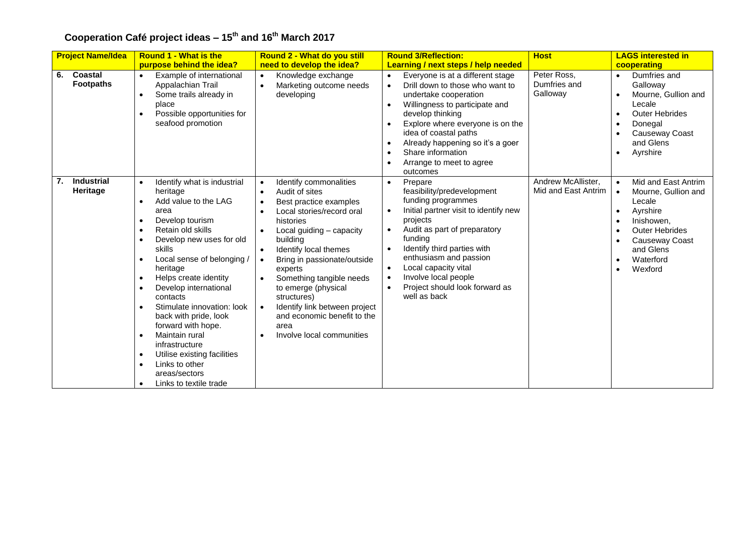| <b>Project Name/Idea</b>            | <b>Round 1 - What is the</b>                                                                                                                                                                                                                                                                                                                                                                                                                                                                                                                                                                                                                        | <b>Round 2 - What do you still</b>                                                                                                                                                                                                                                                                                                                                                                                                    | <b>Round 3/Reflection:</b>                                                                                                                                                                                                                                                                                                                                                                                        | <b>Host</b>                               | <b>LAGS interested in</b>                                                                                                                                                                |
|-------------------------------------|-----------------------------------------------------------------------------------------------------------------------------------------------------------------------------------------------------------------------------------------------------------------------------------------------------------------------------------------------------------------------------------------------------------------------------------------------------------------------------------------------------------------------------------------------------------------------------------------------------------------------------------------------------|---------------------------------------------------------------------------------------------------------------------------------------------------------------------------------------------------------------------------------------------------------------------------------------------------------------------------------------------------------------------------------------------------------------------------------------|-------------------------------------------------------------------------------------------------------------------------------------------------------------------------------------------------------------------------------------------------------------------------------------------------------------------------------------------------------------------------------------------------------------------|-------------------------------------------|------------------------------------------------------------------------------------------------------------------------------------------------------------------------------------------|
|                                     | purpose behind the idea?                                                                                                                                                                                                                                                                                                                                                                                                                                                                                                                                                                                                                            | need to develop the idea?                                                                                                                                                                                                                                                                                                                                                                                                             | Learning / next steps / help needed                                                                                                                                                                                                                                                                                                                                                                               |                                           | cooperating                                                                                                                                                                              |
| Coastal<br>6.<br><b>Footpaths</b>   | Example of international<br>$\bullet$<br>Appalachian Trail<br>Some trails already in<br>$\bullet$<br>place<br>Possible opportunities for<br>$\bullet$<br>seafood promotion                                                                                                                                                                                                                                                                                                                                                                                                                                                                          | Knowledge exchange<br>$\bullet$<br>Marketing outcome needs<br>developing                                                                                                                                                                                                                                                                                                                                                              | Everyone is at a different stage<br>$\bullet$<br>Drill down to those who want to<br>$\bullet$<br>undertake cooperation<br>Willingness to participate and<br>$\bullet$<br>develop thinking<br>Explore where everyone is on the<br>idea of coastal paths<br>Already happening so it's a goer<br>$\bullet$<br>Share information<br>$\bullet$<br>Arrange to meet to agree<br>outcomes                                 | Peter Ross,<br>Dumfries and<br>Galloway   | Dumfries and<br>$\bullet$<br>Galloway<br>Mourne, Gullion and<br>Lecale<br><b>Outer Hebrides</b><br>Donegal<br>$\bullet$<br>Causeway Coast<br>and Glens<br>Ayrshire                       |
| <b>Industrial</b><br>7.<br>Heritage | Identify what is industrial<br>$\bullet$<br>heritage<br>Add value to the LAG<br>$\bullet$<br>area<br>Develop tourism<br>$\bullet$<br>Retain old skills<br>$\bullet$<br>Develop new uses for old<br>$\bullet$<br>skills<br>Local sense of belonging /<br>$\bullet$<br>heritage<br>Helps create identity<br>$\bullet$<br>Develop international<br>$\bullet$<br>contacts<br>Stimulate innovation: look<br>$\bullet$<br>back with pride, look<br>forward with hope.<br>Maintain rural<br>$\bullet$<br>infrastructure<br>Utilise existing facilities<br>$\bullet$<br>Links to other<br>$\bullet$<br>areas/sectors<br>Links to textile trade<br>$\bullet$ | Identify commonalities<br>$\bullet$<br>Audit of sites<br>Best practice examples<br>Local stories/record oral<br>histories<br>Local guiding - capacity<br>building<br>Identify local themes<br>Bring in passionate/outside<br>experts<br>Something tangible needs<br>$\bullet$<br>to emerge (physical<br>structures)<br>Identify link between project<br>$\bullet$<br>and economic benefit to the<br>area<br>Involve local communities | Prepare<br>$\bullet$<br>feasibility/predevelopment<br>funding programmes<br>Initial partner visit to identify new<br>$\bullet$<br>projects<br>Audit as part of preparatory<br>$\bullet$<br>funding<br>Identify third parties with<br>$\bullet$<br>enthusiasm and passion<br>Local capacity vital<br>$\bullet$<br>Involve local people<br>$\bullet$<br>Project should look forward as<br>$\bullet$<br>well as back | Andrew McAllister,<br>Mid and East Antrim | Mid and East Antrim<br>$\bullet$<br>Mourne, Gullion and<br>$\bullet$<br>Lecale<br>Ayrshire<br>Inishowen,<br><b>Outer Hebrides</b><br>Causeway Coast<br>and Glens<br>Waterford<br>Wexford |